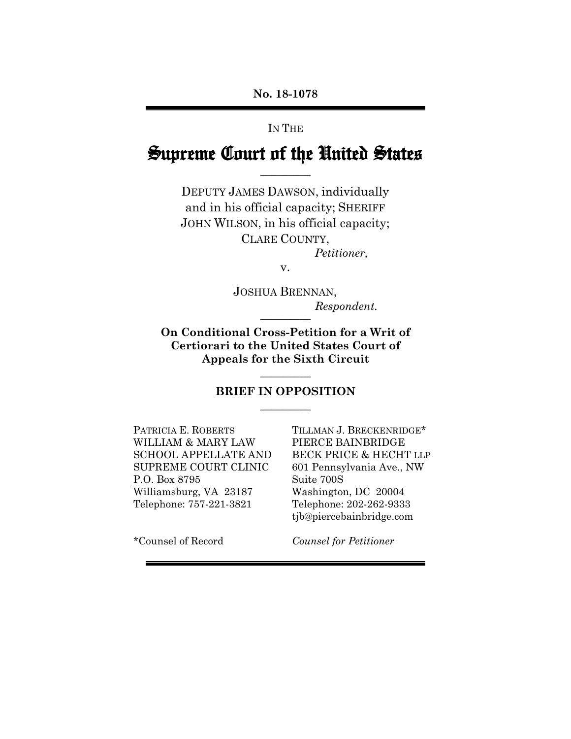### IN THE

# Supreme Court of the United States  $\overline{\phantom{a}}$

DEPUTY JAMES DAWSON, individually and in his official capacity; SHERIFF JOHN WILSON, in his official capacity; CLARE COUNTY, *Petitioner,* 

v.

JOSHUA BRENNAN,  $Respondent.$ 

**On Conditional Cross-Petition for a Writ of Certiorari to the United States Court of Appeals for the Sixth Circuit** 

### **BRIEF IN OPPOSITION \_\_\_\_\_\_\_\_\_**

**\_\_\_\_\_\_\_\_\_** 

PATRICIA E. ROBERTS WILLIAM & MARY LAW SCHOOL APPELLATE AND SUPREME COURT CLINIC P.O. Box 8795 Williamsburg, VA 23187 Telephone: 757-221-3821

TILLMAN J. BRECKENRIDGE\* PIERCE BAINBRIDGE BECK PRICE & HECHT LLP 601 Pennsylvania Ave., NW Suite 700S Washington, DC 20004 Telephone: 202-262-9333 tjb@piercebainbridge.com

\*Counsel of Record

*Counsel for Petitioner*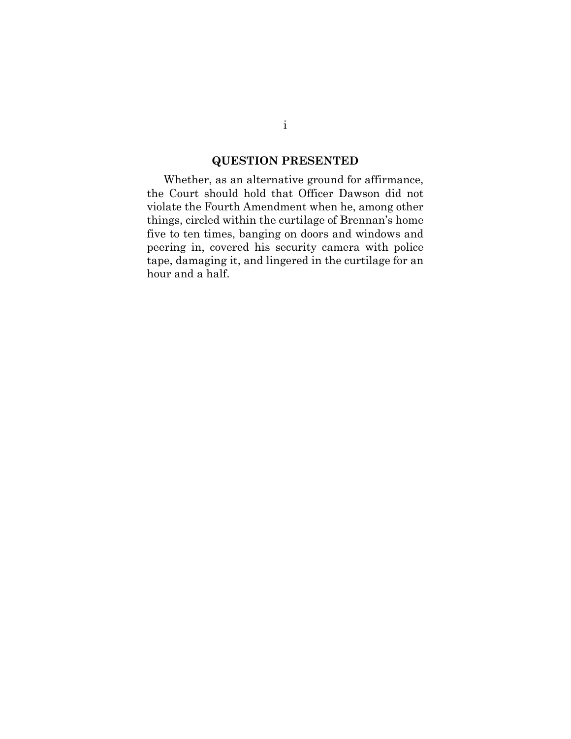## **QUESTION PRESENTED**

Whether, as an alternative ground for affirmance, the Court should hold that Officer Dawson did not violate the Fourth Amendment when he, among other things, circled within the curtilage of Brennan's home five to ten times, banging on doors and windows and peering in, covered his security camera with police tape, damaging it, and lingered in the curtilage for an hour and a half.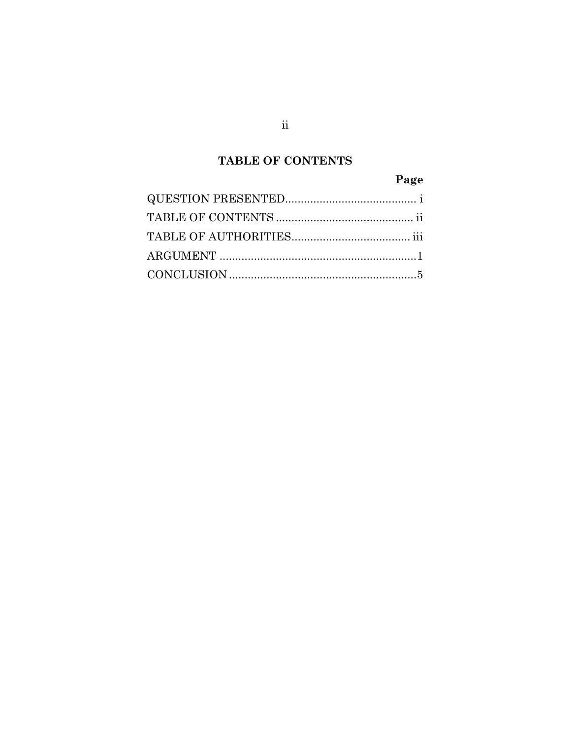# **TABLE OF CONTENTS**

# Page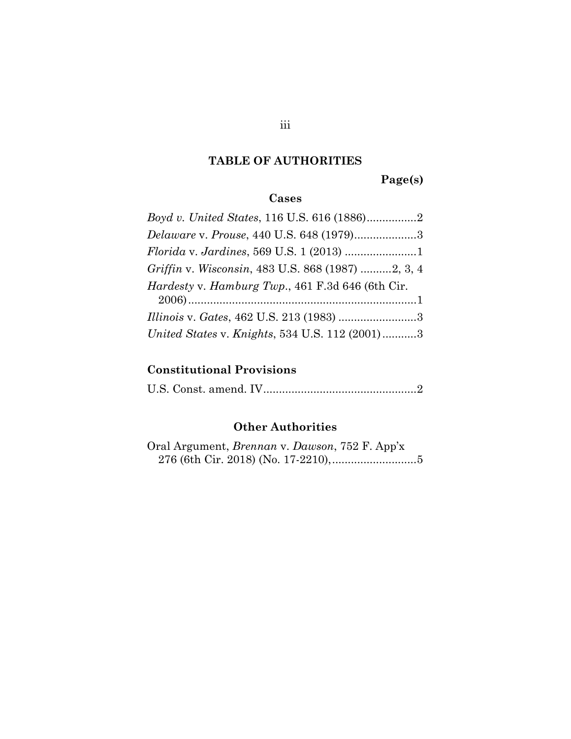# **TABLE OF AUTHORITIES**

**Page(s)** 

# **Cases**

| Delaware v. Prouse, 440 U.S. 648 (1979)3                 |
|----------------------------------------------------------|
|                                                          |
| Griffin v. Wisconsin, 483 U.S. 868 (1987) 2, 3, 4        |
| <i>Hardesty v. Hamburg Twp.</i> , 461 F.3d 646 (6th Cir. |
|                                                          |
| United States v. Knights, 534 U.S. 112 (2001)3           |

## **Constitutional Provisions**

U.S. Const. amend. IV ................................................. 2

# **Other Authorities**

Oral Argument, *Brennan* v. *Dawson*, 752 F. App'x 276 (6th Cir. 2018) (No. 17-2210), ........................... 5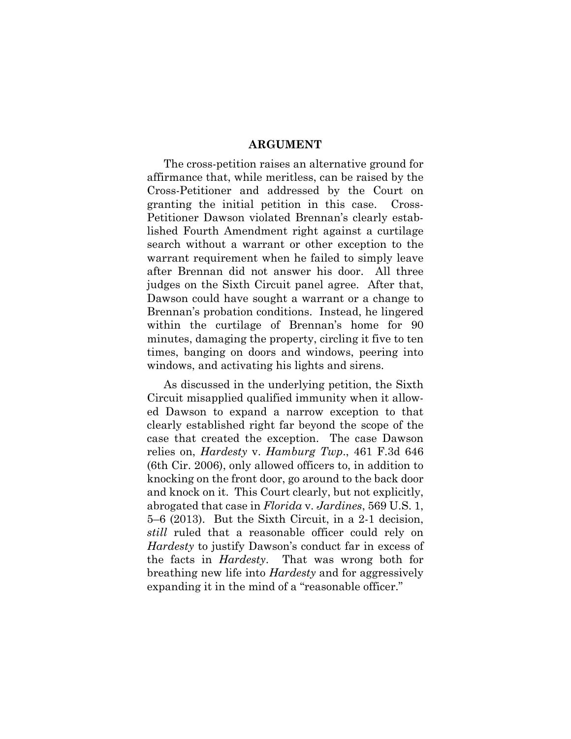#### **ARGUMENT**

The cross-petition raises an alternative ground for affirmance that, while meritless, can be raised by the Cross-Petitioner and addressed by the Court on granting the initial petition in this case. Cross-Petitioner Dawson violated Brennan's clearly established Fourth Amendment right against a curtilage search without a warrant or other exception to the warrant requirement when he failed to simply leave after Brennan did not answer his door. All three judges on the Sixth Circuit panel agree. After that, Dawson could have sought a warrant or a change to Brennan's probation conditions. Instead, he lingered within the curtilage of Brennan's home for 90 minutes, damaging the property, circling it five to ten times, banging on doors and windows, peering into windows, and activating his lights and sirens.

As discussed in the underlying petition, the Sixth Circuit misapplied qualified immunity when it allowed Dawson to expand a narrow exception to that clearly established right far beyond the scope of the case that created the exception. The case Dawson relies on, *Hardesty* v. *Hamburg Twp*., 461 F.3d 646 (6th Cir. 2006), only allowed officers to, in addition to knocking on the front door, go around to the back door and knock on it. This Court clearly, but not explicitly, abrogated that case in *Florida* v. *Jardines*, 569 U.S. 1, 5–6 (2013). But the Sixth Circuit, in a 2-1 decision, *still* ruled that a reasonable officer could rely on *Hardesty* to justify Dawson's conduct far in excess of the facts in *Hardesty*. That was wrong both for breathing new life into *Hardesty* and for aggressively expanding it in the mind of a "reasonable officer."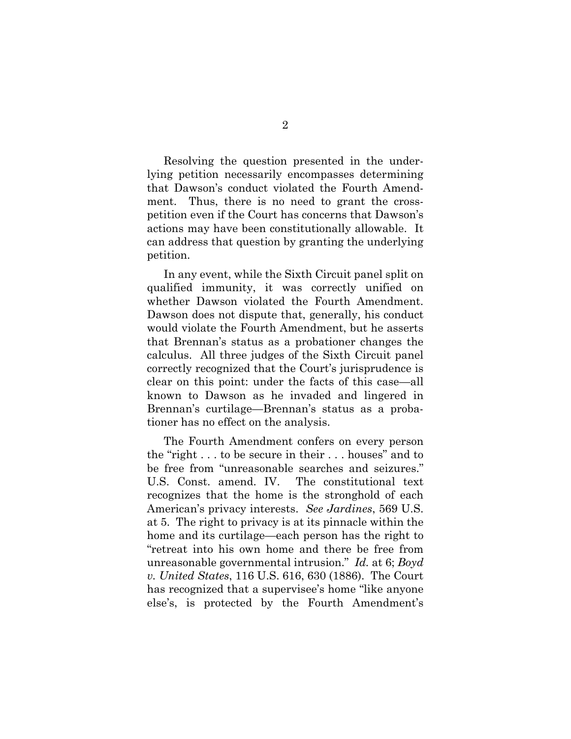Resolving the question presented in the underlying petition necessarily encompasses determining that Dawson's conduct violated the Fourth Amendment. Thus, there is no need to grant the crosspetition even if the Court has concerns that Dawson's actions may have been constitutionally allowable. It can address that question by granting the underlying petition.

In any event, while the Sixth Circuit panel split on qualified immunity, it was correctly unified on whether Dawson violated the Fourth Amendment. Dawson does not dispute that, generally, his conduct would violate the Fourth Amendment, but he asserts that Brennan's status as a probationer changes the calculus. All three judges of the Sixth Circuit panel correctly recognized that the Court's jurisprudence is clear on this point: under the facts of this case—all known to Dawson as he invaded and lingered in Brennan's curtilage—Brennan's status as a probationer has no effect on the analysis.

The Fourth Amendment confers on every person the "right . . . to be secure in their . . . houses" and to be free from "unreasonable searches and seizures." U.S. Const. amend. IV. The constitutional text recognizes that the home is the stronghold of each American's privacy interests. *See Jardines*, 569 U.S. at 5. The right to privacy is at its pinnacle within the home and its curtilage—each person has the right to "retreat into his own home and there be free from unreasonable governmental intrusion." *Id.* at 6; *Boyd v. United States*, 116 U.S. 616, 630 (1886). The Court has recognized that a supervisee's home "like anyone else's, is protected by the Fourth Amendment's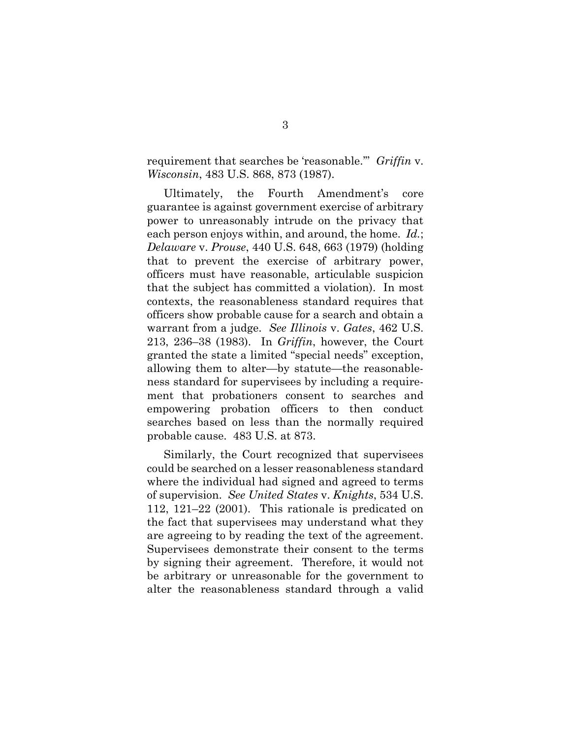requirement that searches be 'reasonable.'" *Griffin* v. *Wisconsin*, 483 U.S. 868, 873 (1987).

Ultimately, the Fourth Amendment's core guarantee is against government exercise of arbitrary power to unreasonably intrude on the privacy that each person enjoys within, and around, the home. *Id.*; *Delaware* v. *Prouse*, 440 U.S. 648, 663 (1979) (holding that to prevent the exercise of arbitrary power, officers must have reasonable, articulable suspicion that the subject has committed a violation). In most contexts, the reasonableness standard requires that officers show probable cause for a search and obtain a warrant from a judge. *See Illinois* v. *Gates*, 462 U.S. 213, 236–38 (1983). In *Griffin*, however, the Court granted the state a limited "special needs" exception, allowing them to alter—by statute—the reasonableness standard for supervisees by including a requirement that probationers consent to searches and empowering probation officers to then conduct searches based on less than the normally required probable cause. 483 U.S. at 873.

Similarly, the Court recognized that supervisees could be searched on a lesser reasonableness standard where the individual had signed and agreed to terms of supervision. *See United States* v. *Knights*, 534 U.S. 112, 121–22 (2001). This rationale is predicated on the fact that supervisees may understand what they are agreeing to by reading the text of the agreement. Supervisees demonstrate their consent to the terms by signing their agreement. Therefore, it would not be arbitrary or unreasonable for the government to alter the reasonableness standard through a valid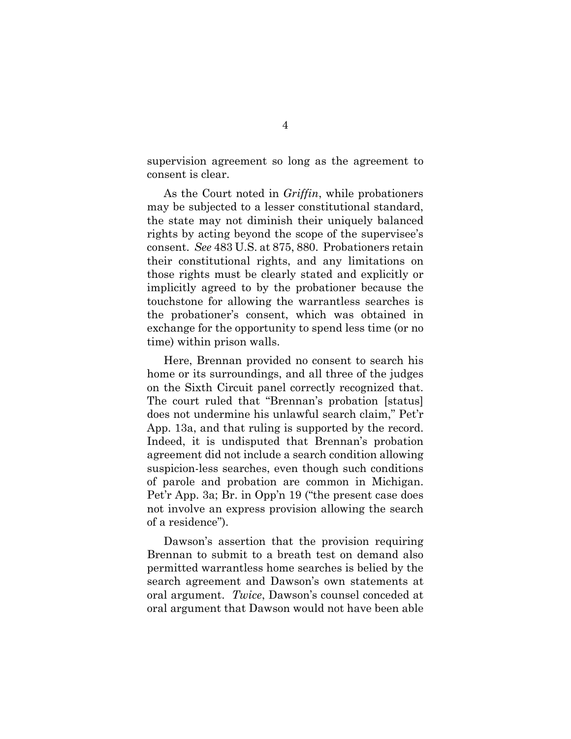supervision agreement so long as the agreement to consent is clear.

As the Court noted in *Griffin*, while probationers may be subjected to a lesser constitutional standard, the state may not diminish their uniquely balanced rights by acting beyond the scope of the supervisee's consent. *See* 483 U.S. at 875, 880. Probationers retain their constitutional rights, and any limitations on those rights must be clearly stated and explicitly or implicitly agreed to by the probationer because the touchstone for allowing the warrantless searches is the probationer's consent, which was obtained in exchange for the opportunity to spend less time (or no time) within prison walls.

Here, Brennan provided no consent to search his home or its surroundings, and all three of the judges on the Sixth Circuit panel correctly recognized that. The court ruled that "Brennan's probation [status] does not undermine his unlawful search claim," Pet'r App. 13a, and that ruling is supported by the record. Indeed, it is undisputed that Brennan's probation agreement did not include a search condition allowing suspicion-less searches, even though such conditions of parole and probation are common in Michigan. Pet'r App. 3a; Br. in Opp'n 19 ("the present case does not involve an express provision allowing the search of a residence").

Dawson's assertion that the provision requiring Brennan to submit to a breath test on demand also permitted warrantless home searches is belied by the search agreement and Dawson's own statements at oral argument. *Twice*, Dawson's counsel conceded at oral argument that Dawson would not have been able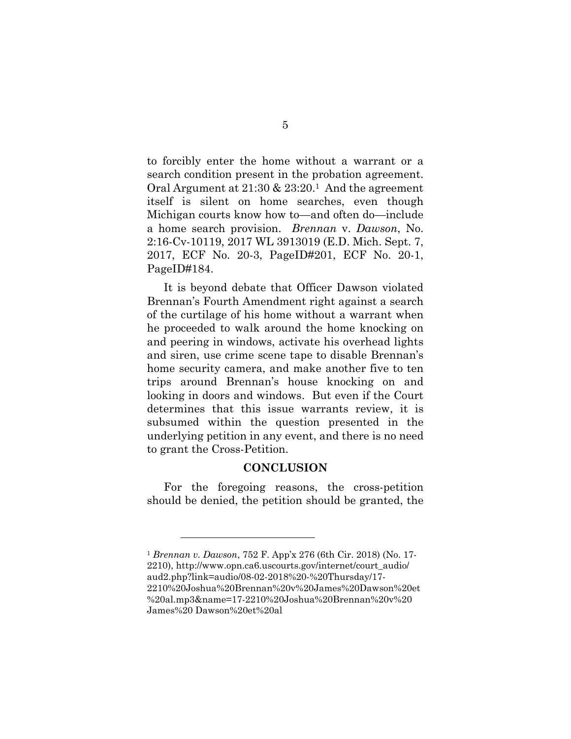to forcibly enter the home without a warrant or a search condition present in the probation agreement. Oral Argument at 21:30 & 23:20.1 And the agreement itself is silent on home searches, even though Michigan courts know how to—and often do—include a home search provision. *Brennan* v. *Dawson*, No. 2:16-Cv-10119, 2017 WL 3913019 (E.D. Mich. Sept. 7, 2017, ECF No. 20-3, PageID#201, ECF No. 20-1, PageID#184.

It is beyond debate that Officer Dawson violated Brennan's Fourth Amendment right against a search of the curtilage of his home without a warrant when he proceeded to walk around the home knocking on and peering in windows, activate his overhead lights and siren, use crime scene tape to disable Brennan's home security camera, and make another five to ten trips around Brennan's house knocking on and looking in doors and windows. But even if the Court determines that this issue warrants review, it is subsumed within the question presented in the underlying petition in any event, and there is no need to grant the Cross-Petition.

#### **CONCLUSION**

For the foregoing reasons, the cross-petition should be denied, the petition should be granted, the

<sup>1</sup> *Brennan v. Dawson*, 752 F. App'x 276 (6th Cir. 2018) (No. 17- 2210), http://www.opn.ca6.uscourts.gov/internet/court\_audio/ aud2.php?link=audio/08-02-2018%20-%20Thursday/17- 2210%20Joshua%20Brennan%20v%20James%20Dawson%20et %20al.mp3&name=17-2210%20Joshua%20Brennan%20v%20 James%20 Dawson%20et%20al